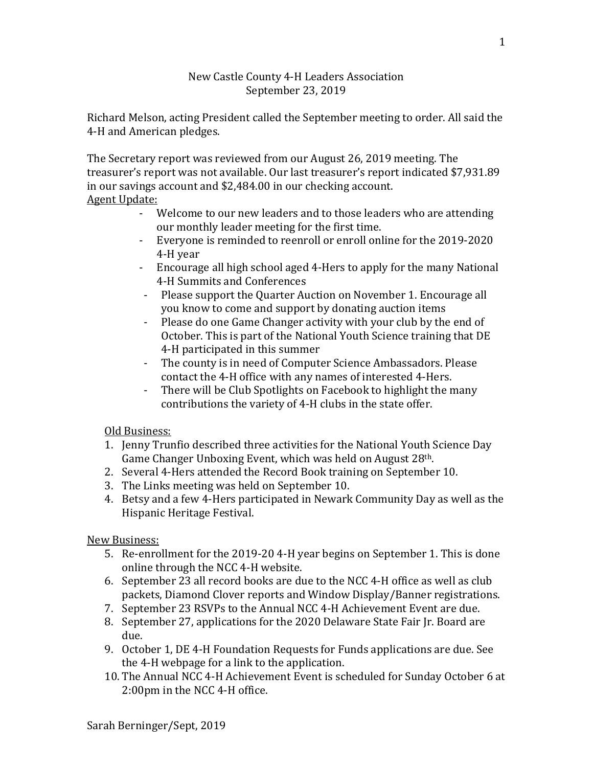## New Castle County 4-H Leaders Association September 23, 2019

Richard Melson, acting President called the September meeting to order. All said the 4-H and American pledges.

The Secretary report was reviewed from our August 26, 2019 meeting. The treasurer's report was not available. Our last treasurer's report indicated \$7,931.89 in our savings account and \$2,484.00 in our checking account. Agent Update:

- Welcome to our new leaders and to those leaders who are attending our monthly leader meeting for the first time.
- Everyone is reminded to reenroll or enroll online for the 2019-2020 4-H year
- Encourage all high school aged 4-Hers to apply for the many National 4-H Summits and Conferences
- Please support the Quarter Auction on November 1. Encourage all you know to come and support by donating auction items
- Please do one Game Changer activity with your club by the end of October. This is part of the National Youth Science training that DE 4-H participated in this summer
- The county is in need of Computer Science Ambassadors. Please contact the 4-H office with any names of interested 4-Hers.
- There will be Club Spotlights on Facebook to highlight the many contributions the variety of 4-H clubs in the state offer.

## Old Business:

- 1. Jenny Trunfio described three activities for the National Youth Science Day Game Changer Unboxing Event, which was held on August 28th.
- 2. Several 4-Hers attended the Record Book training on September 10.
- 3. The Links meeting was held on September 10.
- 4. Betsy and a few 4-Hers participated in Newark Community Day as well as the Hispanic Heritage Festival.

New Business:

- 5. Re-enrollment for the 2019-20 4-H year begins on September 1. This is done online through the NCC 4-H website.
- 6. September 23 all record books are due to the NCC 4-H office as well as club packets, Diamond Clover reports and Window Display/Banner registrations.
- 7. September 23 RSVPs to the Annual NCC 4-H Achievement Event are due.
- 8. September 27, applications for the 2020 Delaware State Fair Jr. Board are due.
- 9. October 1, DE 4-H Foundation Requests for Funds applications are due. See the 4-H webpage for a link to the application.
- 10. The Annual NCC 4-H Achievement Event is scheduled for Sunday October 6 at 2:00pm in the NCC 4-H office.